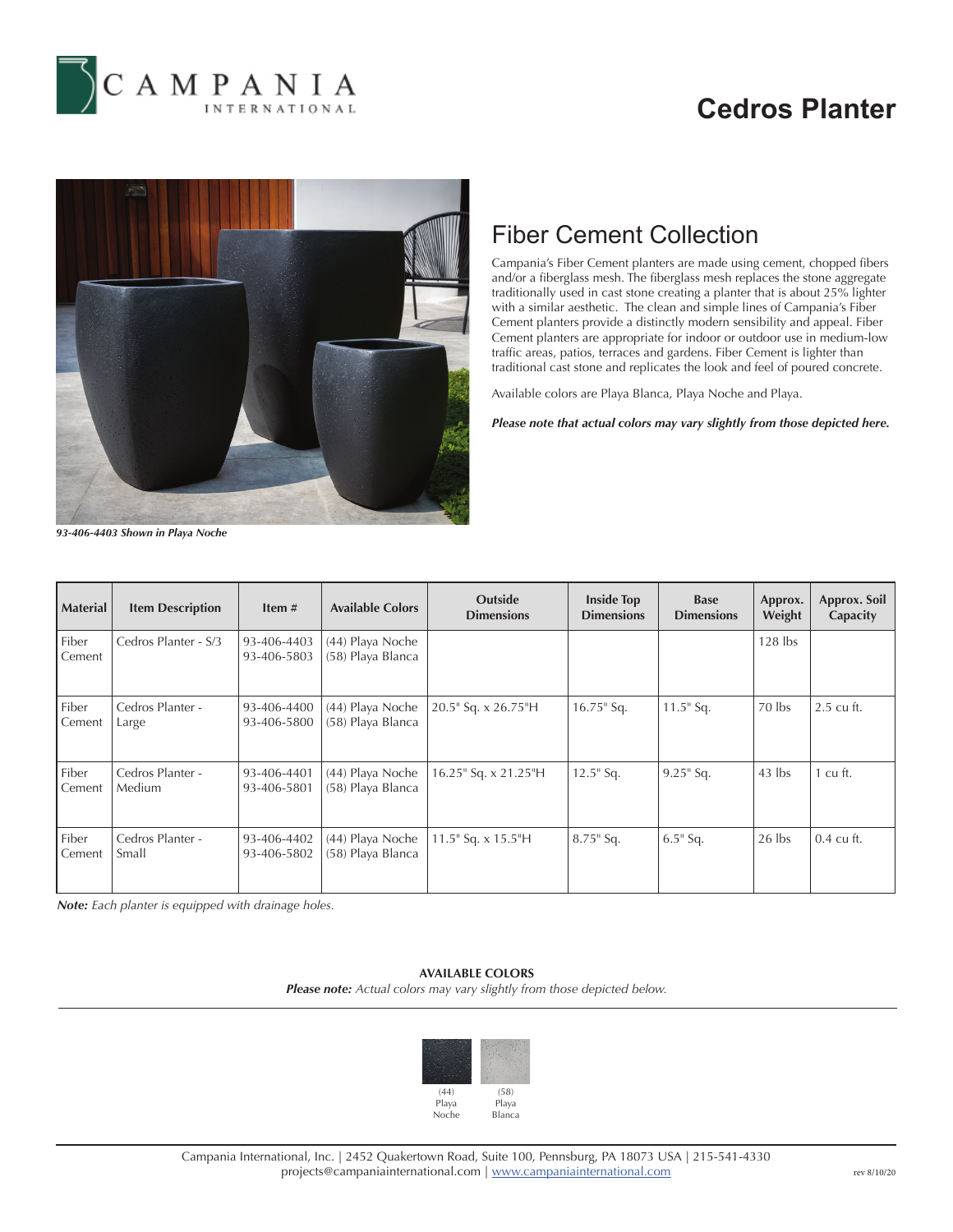

# **Cedros Planter**



## Fiber Cement Collection

Campania's Fiber Cement planters are made using cement, chopped fibers and/or a fiberglass mesh. The fiberglass mesh replaces the stone aggregate traditionally used in cast stone creating a planter that is about 25% lighter with a similar aesthetic. The clean and simple lines of Campania's Fiber Cement planters provide a distinctly modern sensibility and appeal. Fiber Cement planters are appropriate for indoor or outdoor use in medium-low traffic areas, patios, terraces and gardens. Fiber Cement is lighter than traditional cast stone and replicates the look and feel of poured concrete.

Available colors are Playa Blanca, Playa Noche and Playa.

*Please note that actual colors may vary slightly from those depicted here.*

*93-406-4403 Shown in Playa Noche*

| <b>Material</b> | <b>Item Description</b>           | Item $#$                   | <b>Available Colors</b>               | <b>Outside</b><br><b>Dimensions</b> | <b>Inside Top</b><br><b>Dimensions</b> | <b>Base</b><br><b>Dimensions</b> | Approx.<br>Weight | Approx. Soil<br>Capacity |
|-----------------|-----------------------------------|----------------------------|---------------------------------------|-------------------------------------|----------------------------------------|----------------------------------|-------------------|--------------------------|
| Fiber<br>Cement | Cedros Planter - S/3              | 93-406-4403<br>93-406-5803 | (44) Playa Noche<br>(58) Playa Blanca |                                     |                                        |                                  | $128$ lbs         |                          |
| Fiber<br>Cement | Cedros Planter -<br>Large         | 93-406-4400<br>93-406-5800 | (44) Playa Noche<br>(58) Playa Blanca | 20.5" Sq. x 26.75"H                 | $16.75$ " Sq.                          | $11.5$ " Sq.                     | 70 lbs            | 2.5 cu ft.               |
| Fiber<br>Cement | Cedros Planter -<br><b>Medium</b> | 93-406-4401<br>93-406-5801 | (44) Playa Noche<br>(58) Playa Blanca | 16.25" Sq. x 21.25"H                | $12.5$ " Sq.                           | $9.25$ " Sq.                     | $43$ lbs          | cu ft.                   |
| Fiber<br>Cement | Cedros Planter -<br>Small         | 93-406-4402<br>93-406-5802 | (44) Playa Noche<br>(58) Playa Blanca | 11.5" Sq. x 15.5"H                  | $8.75$ " Sq.                           | $6.5$ " Sq.                      | $26$ lbs          | $0.4 \text{ cu ft.}$     |

*Note: Each planter is equipped with drainage holes.*

### **AVAILABLE COLORS**

*Please note: Actual colors may vary slightly from those depicted below.*